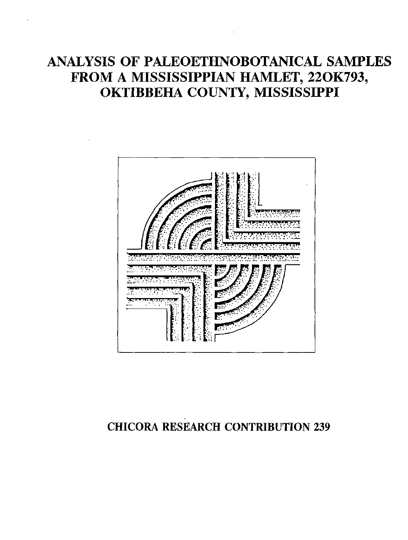# ANALYSIS OF PALEOETHNOBOTANICAL SAMPLES FROM A MISSISSIPPIAN HAMLET, 220K793, OKTIBBEHA COUNTY, MISSISSIPPI



# CHICORA RESEARCH CONTRIBUTION 239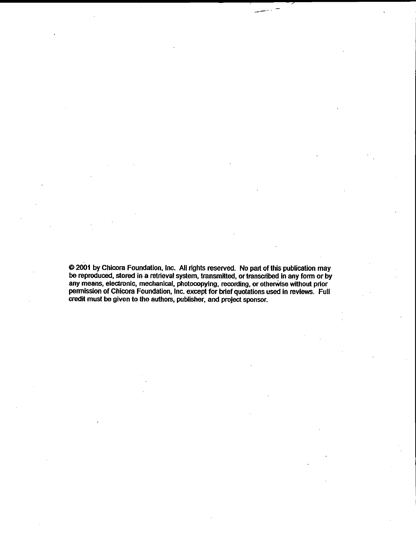@ 2001 by Chicora Foundation, Inc. All rights reserved. No part of this publication may be reproduced, stored in a retrieval system, transmitted, or transcribed in any form or by any means, electronic, mechanical, photocopying, recording, or otherwise without prior permission of Chicora Foundation, Inc. except for brief quotations used in reviews. Full credit must be given to the authors, publisher, and project sponsor.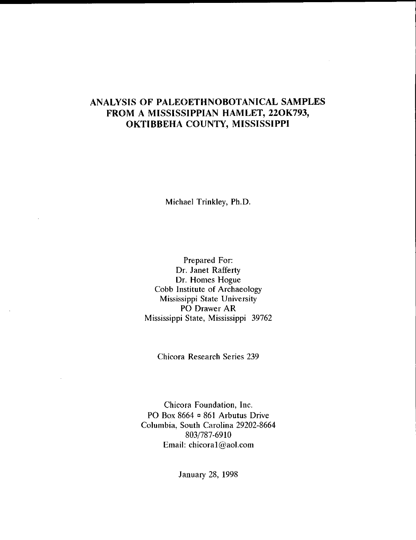# ANALYSIS OF PALEOETHNOBOTANICAL SAMPLES FROM A MISSISSIPPIAN HAMLET, 220K793, OKTIBBEHA COUNTY, MISSISSIPPI

Michael Trinkley, Ph.D.

Prepared For: Dr. Janet Rafferty Dr. Homes Hogue Cobb Institute of Archaeology Mississippi State University PO Drawer AR Mississippi State, Mississippi 39762

Chicora Research Series 239

Chicora Foundation, Inc. PO Box 8664  $\circ$  861 Arbutus Drive Columbia, South Carolina 29202-8664 803/787-6910 Email: chicoral@aol.com

January 28, 1998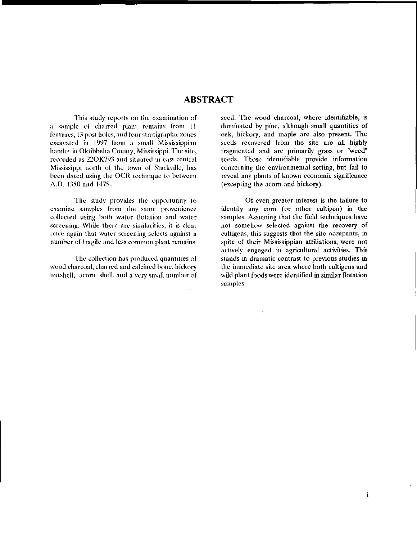# ABSTRACT

This study reports on the examination of a sample of charred plant remains from 11 features, 13 post holes, and four stratigraphic zones excavated in 1997 from a small Mississippian hamlet in Oktibbeha County, Mississippi. The site, recorded as 22OK793 and situated in cast central Mississippi north of the town of Starkville, has been dated using the OCR technique to between A.D. 1350 and 1475...

The study provides the opportunity to examine samples from the same provenience collected using both water flotation and water screening. While there are similarities, it is clear once again that water screening selects against a number of fragile and less common plant remains.

The collection has produced quantities of wood charcoal, charred and calcined bone, hickory nutshell, acorn shell, and a very small number of seed. The wood charcoal, where identifiable, is dominated hy pine, although small quantities of oak, hickory, and maple are also present. The seeds recovered from the site are all highly fragmented and are primarily grass or "weed" seeds. Those identifiable provide information concerning the environmental setting, but fail to reveal any plants of known economic significance (excepting the acorn and hickory).

Of even greater interest is the failure to identify any corn (or other cultigen) in the samples. Assuming that the field techniques have not somehow selected against the recovery of cultigens, this suggests that the site occupants, in spite of their Mississippian affiliations, were not actively engaged in agricultural activities. This stands in dramatic contrast to previous studies in the immediate site area where both cultigens and wild plant foods were identified in similar flotation samples.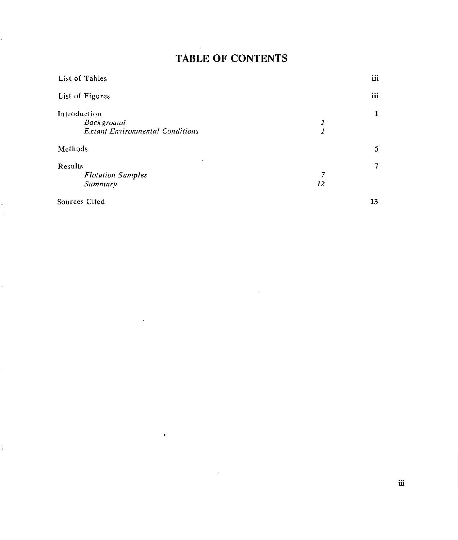# TABLE OF CONTENTS

| List of Tables                         |    | iii    |
|----------------------------------------|----|--------|
| List of Figures                        |    | iii    |
| Introduction                           |    | 1      |
| Background                             | 1  |        |
| <b>Extant Environmental Conditions</b> | 1  |        |
| Methods                                |    | 5      |
| Results                                |    | $\tau$ |
| <b>Flotation Samples</b>               | 7  |        |
| Summary                                | 12 |        |
| Sources Cited                          |    | 13     |

 $\bar{A}$ 

 $\bar{\lambda}$ 

ĵ

 $\overline{a}$ 

l,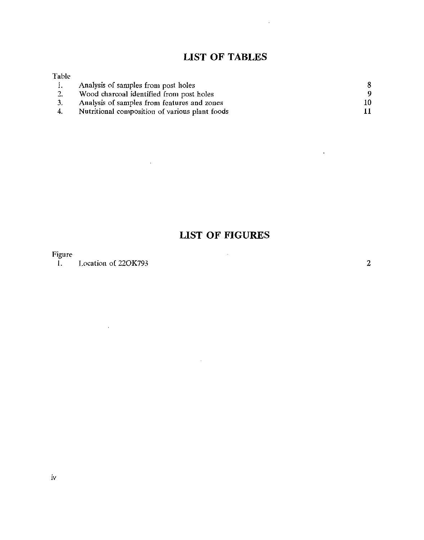# **LIST OF TABLES**

 $\sim$ 

| Table |                                                |     |
|-------|------------------------------------------------|-----|
|       | Analysis of samples from post holes            |     |
|       | Wood charcoal identified from post holes       | Q   |
|       | Analysis of samples from features and zones    | 10. |
|       | Nutritional composition of various plant foods |     |

# **LIST OF FIGURES**

 $\sim 10^{-1}$ 

 $\sim 10^7$ 

#### Figure

I. Location of 220K793

 $\sim 10^{-11}$ 

 $\sim$ 

2

 $\bar{z}$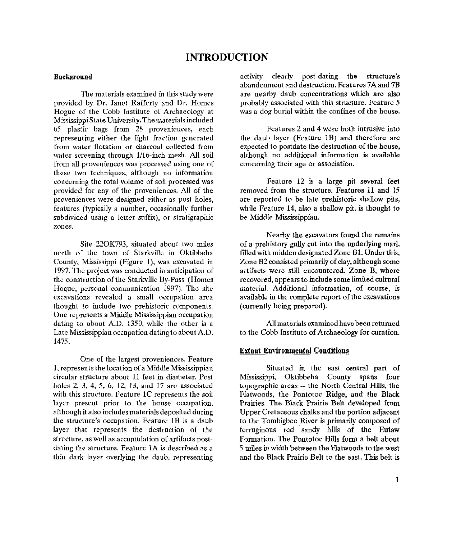## **Background**

The materials examined in this study were provided by Dr. Janet Rafferty and Dr. Homes Hogue of the Cobb Institute of Archaeology at **Mississippi State University. The inatcrials included 65 plastic bags from 28 proveniences, each**  representing either the light fraction generated **fron1 \Vater flotation or charcoal collected from**  water screening through 1/16-inch mesh. All soil from all proveniences was processed using one of **these t\vo techniques, although no information concerning the total volume of soil processed was**  provided for any of the proveniencos. All of the proveniences were designed either as post holes, features (typically a number, occasionally further subdivided using a letter suffix), or stratigraphic **zones.** 

Site 220K793, situated about two miles north of the town of Starkville in Oktibbeha County, Mississippi (Figure I), was excavated in 1997. The project was conducted in anticipation of the construction of the Starkville By-Pass (Homes Hogue, personal communication 1997). The site **excavations revealed a small occupation area**  thought to include two prehistoric components. **One represents a Middle Mississippian occupation**  dating to about A.D. 1350, while the other is a Late Mississippian occupation dating to about A.D. 1475.

**One of the largest proveniences, Feature**  l, represents the location of a Middle Mississippian **circular structure about 11 feet in diameter. Post**  holes 2, 3, 4, 5, 6, 12, 13, and 17 are associated **with this structure. Feature lC represents the soil**  layer present prior to the house occupation, although it also includes materials deposited during **the structure's occupation. Feature 1 B is a daub**  layer that represents the destruction of the structure, as well as accumulation of artifacts post dating the structure. Feature 1A is described as a thin dark layer overlying the daub, representing activity dearly post-dating the structure's abandonment and destruction. Features 7A and 7B **are nearby daub concentrations which are also**  probably associated with this structure. Feature *5*  **\Vas a dog burial within the c.onfmes of the house.** 

Features 2 and 4 were both intrusive into the daub layer (Feature lB) and therefore are expected to postdate the destruction of the house, although no additional information is available **concerning their age or association.** 

Feature 12 is a large pit several feet removed from the structure. Features 11 and 15 are reported to be late prehistoric shallow pits, while Feature 14, also a shallow pit, is thought to be Middle Mississippian.

Nearby the excavators found the remains of a prehistory gully cut into the underlying marl, filled with midden designated Zone Bl. Under this, Zone B2 consisted primarily of clay, although some artifacts were still encountered. Zone B, where recovered, appears to include some limited cultural material. Additional information, of course, is available in the complete report of the excavations (currently being prepared).

All materials examined have been returned to the Cobb Institute of Archaeology for curation.

#### Extant Environmental Conditions

Situated in the east central part of Mississippi, Oktibbeha County spans four topographic areas -- the North Central Hills, the Flatwoods, the Pontotoc Ridge, and the Black Prairies. The Black Prairie Belt developed from Upper Cretaceous chalks and the portion adjacent to the Tombigbee River is primarily composed of ferruginous red sandy hills of the Eutaw Formation. The Pontotoc Hills form a belt about 5 miles in width between the Flatwoods to the west and the Black Prairie Belt to the east. This belt is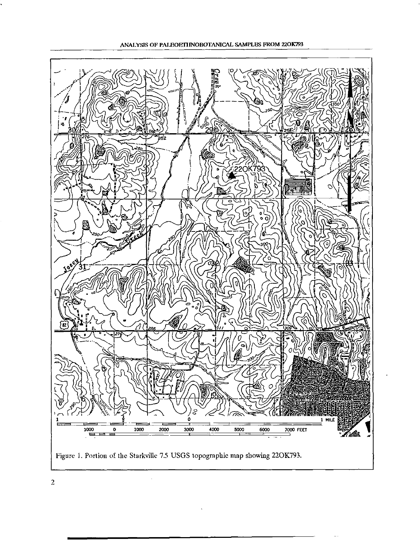

ANALYSIS OF PALEOEITINOBOTANICAL SAMPLES FROM 22OK793

 $\overline{2}$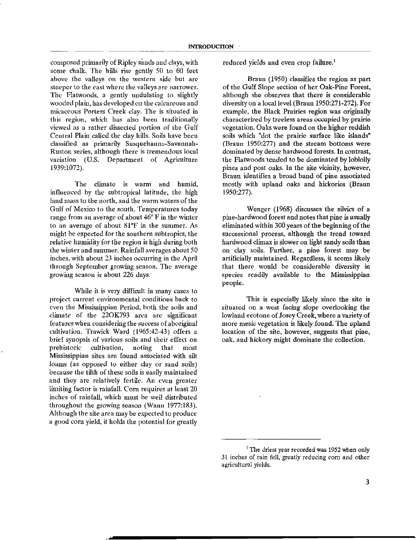composed primarily of Ripley sands and days, with some chalk. The hills rise gently 50 to 60 feet **above the valleys on the 'vesteru side but arc**  steeper to the east where the valleys are narrower. The Flatwoods, a gently undulating to slightly wooded plain, has developed on the calcareous and **n1icaceous Porters Creek clay.** ~The **is situated in**  this region, which has also been traditionally viewed as a rather dissected portion of the Gulf Central Plain called the clay hills. Soils have been **classified as primarily Susquehanna-Savannah-Ruston series, although there is tremendous local**  variation (U.S. Department of Agriculture 1939:1072).

The climate is warm and humid, influenced by the subtropical latitude, the high land mass to the north, and the warm waters of the Gulf of Mexico to the south. Temperatures today range from an average of about  $46^{\circ}$  F in the winter to an average of about 81°F in the summer. As might be expected for the southern subtropics, the relative humidity for the region *is* high during both **the winter and summer. Rainfall averages about 50**  inches, with about 23 inches occurring in the April through September growing season. The average growing season is about 226 days.

While it is very difficult in many cases to **project current environmental conditions back to even the Mississippian Period, both the soils and**  climate of the 220K793 area are significant **features \Vhen considering the success of aboriginal**  cultivation. Trawick Ward (1965:42-43) offers a **brief synopsis of various soils and their effect on prehistoric cultivation, noting that most**  Mississippian sites are found associated with silt loams (as opposed to either clay or sand soils) because the tilth of these soils is easily maintained and they are relatively fertile. An even greater limiting factor is rainfall. Corn requires at least 20 inches of rainfall, which must be well distributed throughout the growing season (Wann 1977:183). Although the site area may be expected to produce a good corn yield, it holds the potential for greatly

reduced yields and even crop failure.'

Braun (1950) classifies the region as part of the Gulf Slope section of her Oak-Pine Forest, although she observes that there *is* considerable diversity on a local level (Braun 1950:271-272). For example, the Black Prairies region was originally **characterized by treeless areas occupied by prairie**  vegetation. Oaks were found on the higher reddish soils which "dot the prairie surface like islands" (Braun 1950:277) and the stream bottoms were dominated by dense hardwood forests. In contrast, lhe Flatwoods tended to be dominated by loblolly pines and post oaks. In the site vicinity, however, Braun identifies a broad band of pine associated mostly with upland oaks and hickories (Braun 1950:277).

Wenger (1968) discusses the silvics of a pine-hardwood forest and notes that pine *is* usually eliminated within 300 years of the beginning of the successional process, although the trend toward hardwood climax *is* slower on light sandy soils than on clay soils. Further, a pine forest may be artificially maintained. Regardless, it seems likely that there would be considerable diversity in species readily available to the Mississippian people.

This *is* especially likely since the site *is*  **situated on a west facing slope overlooking the**  lowland ecotone of Josey Creek, where a variety of more mesic vegetation *is* likely found. The upland **location of the site, however, suggests that pine,**  oak, and hickory might dominate the collection.

<sup>1</sup>**The driest year recorded was 1952 when only 31 inches of rain fell, greatly reducing corn and other**  agricultural yields.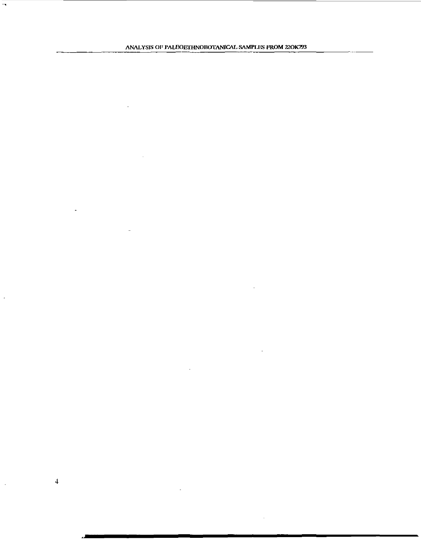J.

 $\overline{a}$ 

 $\overline{4}$ 

 $\ddot{\phantom{1}}$ 

 $\overline{\mathbf{r}}$ 

 $\hat{\mathcal{L}}$ 

 $\hat{\boldsymbol{\theta}}$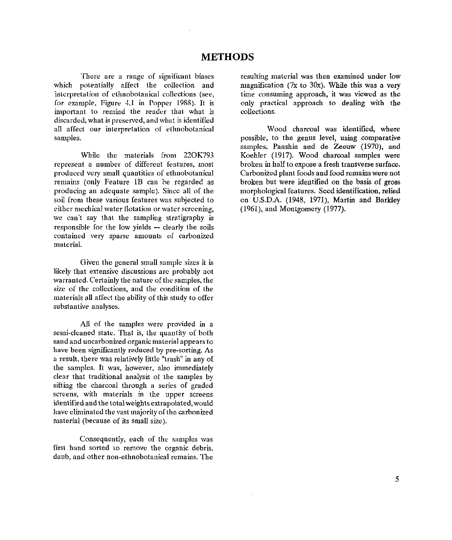## **METHODS**

**·rhere are a range of significant biases**  which potentially affect the collection and **interpretation of cthnobotanical collections (see,**  for example, Figure 4.1 in Popper 1988). It is important to remind the reader that what is discarded, what is preserved, and what is identified **all affect our interpretation of ethnobotanical samples.** 

While the materials from 220K793 **represent a number of different features, most**  produced very small quantities of ethnobotanical remains (only Feature lB can be regarded as producing an adequate sample). Since all of the soil from these various features was subjected to either mechical water flotation or water screening, we can't say that the sampling stratigraphy is  $r$ esponsible for the low yields  $-$  clearly the soils **contained very sparse amounts of carbonized material.** 

Given the general small sample sizes it is likely that extensive discussions are probably not warranted. Certainly the nature of the samples, the size of the collections, and the condition of the materials all affect the ability of this study to offer **substantive analyses.** 

All of the samples were provided in a semi-cleaned state. That is, the quantity of both sand and uncarbonized organic material appears to have been significantly reduced by pre-sorting. As **a result, there \Vas relatively little 11trash11 in any of**  the samples. It was, however, also immediately clear that traditional analysis of the samples by sifting the charcoal through a series of graded **screens, with materials in the upper screens**  identified and the total weights extrapolated, would have eliminated the vast majority of the carbonized material (because of its small size).

Consequently, each of the samples was **first hand sorted lo remove the organic debris, daub, and other non-ethnobotanical remains. The** 

**resulting material was then examined under low**  magnification (7x to 30x). While this was a very **time consuming approach, it was viewed as the**  only practical approach to dealing with the **collections.** 

Wood charcoal was identified, where **possible, to the genus level, using comparative**  samples, Panshin and de Zeeuw (1970), and Koehler (1917). Wood charcoal samples were broken in half to expose a fresh transverse surface. Carbonized plant foods and food remains were not broken but were identified on the basis of gross morphological features. Seed identification, relied on U.S.DA. (1948, 1971), Martin and Barkley (1961), and Montgomery (1977).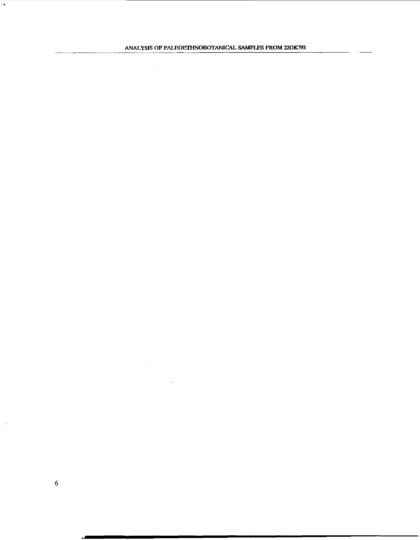ANAL YSJS OF PALEOEillNOBOTANICAL SAMPLES FROM 220K793  $\overline{\phantom{a}}$ 

 $\sim 10^{11}$  km

 $\sim 10^{11}$  km  $^{-1}$ 

 $\sim 100$ 

 $\overline{a}$  $\sim 10$ 

 $\mathbf{r}$ 

 $\hat{\boldsymbol{\gamma}}$ 

 $\sim$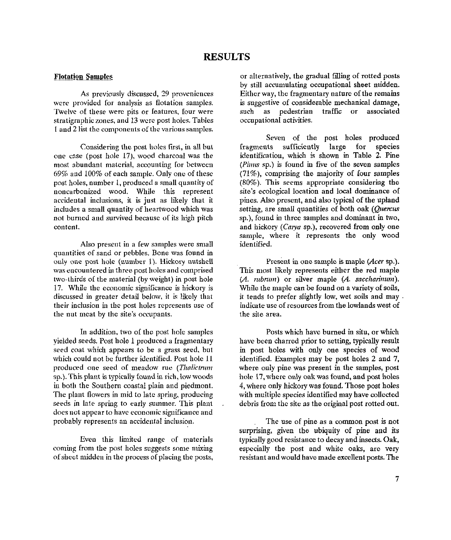## Flotation Samples

**As previously discussed, 29 proveniences \Vere provided for analysis as flotation samples.**  Twelve of these were pits or features, four were stratigraphic zones, and 13 were post holes. Tables 1 and 2 list the components of the various samples.

Considering the post holes first, in all but one case (post hole 17), wood charcoal was the **most abundant material, accounting for between**  69% and 100% of each sample. Only one of these post holes, number l, produced a small quantity of noncarbonized wood. While this represent accidental inclusions, it is just as likely that it includes a small quantity of heartwood which was not bumed and survived because of its high pitch **content.** 

Also present in a few samples were small **quantities of sand or pebbles. Bone \Vas found in**  only one post hole (number 1). Hickory nutshell **\Vas encountered in three post holes and comprised**  two-lhirds of the material (by weight) in post hole 17. While the economic significance is hickory is discussed in greater detail below, it is likely that **their inclusion in the post holes represents use of**  the nut meat by the site's occupants.

ln addition, two of the post hole samples yielded seeds. Post hole 1 produced a fragmentary seed coat which appears to be a grass seed, but which could not be further identified. Post hole 11 produced one seed of meadow rue *(Thalictmm*  sp.). This plant is typically found in rich, low woods in both the Southern coastal plain and piedmont. The plant flowers in mid to late spring, producing seeds in late spring to early summer. This plant does not appear to have economic significance and probably represents an accidental inclusion.

Even this limited range of materials coming from the post holes suggests some mixing of sheet midden in the process of placing the posts,

or alternatively, the gradual filling of rotted posts by still accumulating occupational sheet midden. Either way, the fragmentary nature of the remains is suggestive of considerable mechanical damage,<br>such as pedestrian traffic or associated such as pedestrian **occupational activities.** 

Seven of the post holes produced<br>fragments sufficiently large for species sufficiently identification, which is shown in Table 2. Pine  $(Pinus$  sp.) is found in five of the seven samples  $(71\%)$ , comprising the majority of four samples (80% ). This seems appropriate considering the site's ecological location and local dominance of pines. Also present, and also typical of the upland setting, are small quantities of both oak *(Quercus*  sp. ), found in three samples and dominant in two, and hickory ( *Carya* sp.), recovered from only one sample, where it represents the only wood identified.

Present in one sample is maple *(Acer* sp.). This most likely represents either the red maple (A. *rubrum*) or silver maple (A. saccharinum). While the maple can be found on a variety of soils, it tends to prefer slightly low, wet soils and may . indicate use of resources from the lowlands west of the site area.

Posts which have burned in situ, or which have been charred prior to setting, typically result in post holes with only one species of wood identified. Examples may be post holes 2 and 7, where only pine was present in the samples, post hole 17, where only oak was found, and post holes 4, where only hickory was found. Those post holes with multiple species identified may have collected debris from the site as the original post rotted out.

The use of pine as a common post is not surprising, given the ubiquity of pine and its typically good resistance to decay and insects. Oak, especially the post and white oaks, are very **resistant and would have made excellent posts. The**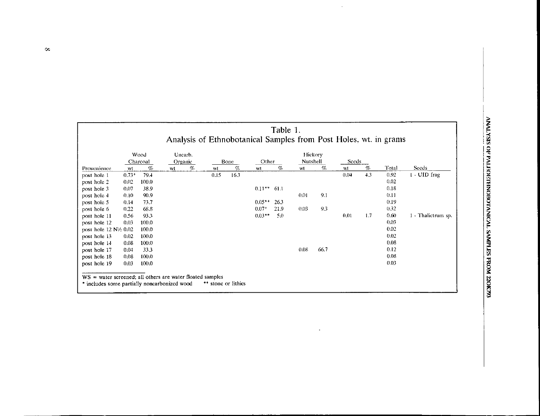| Table 1.<br>Analysis of Ethnobotanical Samples from Post Holes, wt. in grams |                                                                                                                                      |          |         |   |      |      |               |      |          |      |       |      |       |                    |
|------------------------------------------------------------------------------|--------------------------------------------------------------------------------------------------------------------------------------|----------|---------|---|------|------|---------------|------|----------|------|-------|------|-------|--------------------|
|                                                                              |                                                                                                                                      | Wood     | Unearb. |   |      |      |               |      | Hickory  |      |       |      |       |                    |
|                                                                              |                                                                                                                                      | Charcoal | Organic |   | Bone |      | Other         |      | Nutshell |      | Seeds |      |       |                    |
| Provenience                                                                  | wt                                                                                                                                   | $\%$     | wt      | % | wt   | %    | w             | $\%$ | wt       | %    | wt    | $\%$ | Total | Seeds              |
| post hole 1                                                                  | $0.73*$                                                                                                                              | 79.4     |         |   | 0.15 | 16.3 |               |      |          |      | 0.04  | 43   | 0.92  | 1 - UID frag       |
| post hole 2                                                                  | 0.02                                                                                                                                 | 100.0    |         |   |      |      |               |      |          |      |       |      | 0.02  |                    |
| post hole 3                                                                  | 0.07                                                                                                                                 | 38.9     |         |   |      |      | $0.11**$ 61.1 |      |          |      |       |      | 0.18  |                    |
| post hole 4                                                                  | 0.10                                                                                                                                 | 90.9     |         |   |      |      |               |      | 0.01     | 91   |       |      | 0.11  |                    |
| post hole 5                                                                  | 0.14                                                                                                                                 | 73.7     |         |   |      |      | $0.05***$     | 26.3 |          |      |       |      | 0.19  |                    |
| post hole 6                                                                  | 0.22                                                                                                                                 | 68.8     |         |   |      |      | $0.07*$       | 21.9 | 0.03     | 9.3  |       |      | 0.32  |                    |
| post hole 11                                                                 | 0.56                                                                                                                                 | 93.3     |         |   |      |      | $0.03**$      | 5.0  |          |      | 0.01  | 1.7  | 0.60  | 1 - Thalietrum sp. |
| post hole 12                                                                 | 0.03                                                                                                                                 | 100.0    |         |   |      |      |               |      |          |      |       |      | 0.03  |                    |
| post hole 12 N <sup>1/2</sup> 0.02                                           |                                                                                                                                      | 100.0    |         |   |      |      |               |      |          |      |       |      | 0.02  |                    |
| post hole 13                                                                 | 0.02                                                                                                                                 | 100.0    |         |   |      |      |               |      |          |      |       |      | 0.02  |                    |
| post hole 14                                                                 | 0.08                                                                                                                                 | 100.0    |         |   |      |      |               |      |          |      |       |      | 0.08  |                    |
| post hole 17                                                                 | 0.04                                                                                                                                 | 33.3     |         |   |      |      |               |      | 0.08     | 66.7 |       |      | 0.12  |                    |
| post hole 18                                                                 | 0.08                                                                                                                                 | 100.0    |         |   |      |      |               |      |          |      |       |      | 0.08  |                    |
| post hole 19                                                                 | 0.03                                                                                                                                 | 100.0    |         |   |      |      |               |      |          |      |       |      | 0.03  |                    |
|                                                                              | $WS = water\,$ screened; all others are water floated samples<br>* includes some partially noncarbonized wood<br>** stone or lithics |          |         |   |      |      |               |      |          |      |       |      |       |                    |

 $\overline{\phantom{a}}$ 

 $\hat{\mathcal{A}}$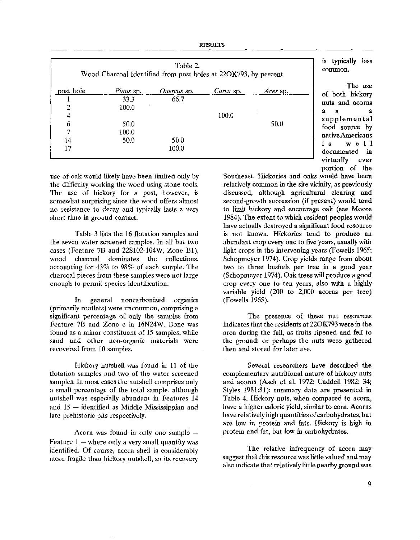RESULTS

| typically<br>15<br>common. | Table 2.<br>Wood Charcoal Identified from post holes at 22OK793, by percent |           |             |                  |                |  |  |  |  |  |
|----------------------------|-----------------------------------------------------------------------------|-----------|-------------|------------------|----------------|--|--|--|--|--|
| of both hi                 | Acer sp.                                                                    | Carva sp. | Quercus sp. | <i>Pinus sp.</i> | post hole      |  |  |  |  |  |
| nuts and a                 |                                                                             |           | 66.7        | 33.3             |                |  |  |  |  |  |
| a<br>-5                    |                                                                             |           |             | 100.0            | $\overline{2}$ |  |  |  |  |  |
| suppleme                   |                                                                             | 100.0     |             |                  | 4              |  |  |  |  |  |
| food sourc                 | 50.0                                                                        |           |             | 50.0             | 6              |  |  |  |  |  |
| native Amer                |                                                                             |           |             | 100.0            | $\overline{7}$ |  |  |  |  |  |
| 1S                         |                                                                             |           | 50.0        | 50.0             | 14             |  |  |  |  |  |
| documented                 |                                                                             |           | 100.0       |                  | 17             |  |  |  |  |  |
| virtually                  |                                                                             |           |             |                  |                |  |  |  |  |  |

use of oak would likely have been limited only by the difficulty working the wood using stone tools. The use of hickory for a post, however, is somewhat surprising since the wood offers almost no resistance to decay and typically lasts a very short time in ground coutact.

Table 3 lists the 16 flotation samples and the seven water screened samples. In all but two cases (Feature 7B and 22Sl02-104W, Zone Bl), wood charcoal dominates the collections, accounting for 43% to 98% of each sample. The **charcoal pieces fron1 these san1ples \Vere not large**  enough to permit species identification.

**In general noncarbonized organics**  (primarily rootlets) were uncommon, comprising a significant percentage of only the samples from Feature 7B and Zone c in 16N24W. Bone was found as a nunor constituent of 15 samples, while sand and other non-organic materials were recovered from 10 samples.

Hickory nutshell was found in 11 of the flotation samples and two of the water screened samples. In most cases the nutshell comprises only a small percentage of the total sample, although nutshell was especially abundant in Features 14 and  $15$  - identified as Middle Mississippian and late prehistoric pits respectively.

Acorn was found in only one sample  $-$ Feature  $1 -$  where only a very small quantity was identified. Of course, acorn shell is considerably **n1ore fragile than hickory nutshell, so its recovery**  Southeast. Hickories and oaks would have been relatively common in the site vicinity, as previously discussed, although agricultnral clearing and second-growth succession (if present) would tend to limit hickory and encourage oak (see Moore 1984). The extent to which resident peoples would have actually destroyed a significant food resource is not known. Hickories tend to produce an abundant crop every one to five years, usually with light crops in the intervening years (Fowells 1965; Schopmeyer 1974). Crop yields range from about two to three bushels per tree in a good year (Schopmeyer 1974). Oak trees will produce a good crop every one to ten years, also with a highly variable yield (200 to 2,000 acorns per tree) (Fowells 1965).

**The presence of these nut resources**  indicates that the residents at 220K793 were in the area during the fall, as fruits ripened and fell to the ground; or perhaps the nuts were gathered then and stored for later use.

Several researchers have descnbed the complementary nutritional natnre of hickory nuts and acorns (Asch et al. 1972; Caddell 1982: 34; Styles 1981:81 ); summary data are presented in Table 4. Hickory nuts, when compared to acorn, have a higher caloric yield, similar to corn. Acorns have relatively high quantities of carbohydrates, but are low in protein and fats. Hickory is high in protein and fat, but low in carbohydrates.

The relative infrequency of acorn may suggest that this resource was little valued and may also indicate that relatively little nearby ground was

**iess** 

e use ckory corns a s a ntal e by **native Americans**  e 11<br>d in documented in virtually ever portion of the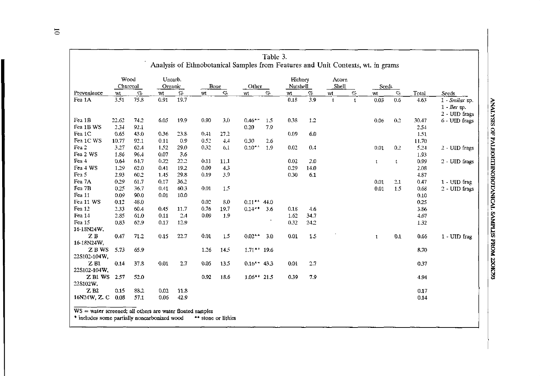| ۰ |    |
|---|----|
|   | ۰, |
|   |    |

| Table 3.<br>Analysis of Ethnobotanical Samples from Features and Unit Contexts, wt. in grams |                  |                 |                    |              |              |                 |                          |             |                     |                  |                |                  |              |              |               |                                                         |
|----------------------------------------------------------------------------------------------|------------------|-----------------|--------------------|--------------|--------------|-----------------|--------------------------|-------------|---------------------|------------------|----------------|------------------|--------------|--------------|---------------|---------------------------------------------------------|
|                                                                                              | Wood<br>Charcoal |                 | Uncarb.<br>Organic |              |              | Bone            | Other                    |             | Hickory<br>Nutshell |                  | Acorn<br>Shell |                  | Seeds        |              |               |                                                         |
| Provenience                                                                                  | wt               | $c_{b}$         | wt                 | 56           | wt           | ç,              | wt                       | $c_{\rm c}$ | wt                  | $\propto$        | wt             | $\sigma_{\rm C}$ | wt           | $c_{\rm o}$  | Total         | Seeds                                                   |
| Fea 1A                                                                                       | 3.51             | 75.8            | 0.91               | 19.7         |              |                 |                          |             | 0.18                | $\overline{3.9}$ | $\mathbf t$    | $\mathbf{t}$     | 0.03         | 0.6          | 4.63          | 1 - Smilax sp.<br>$1$ - <i>Hex</i> sp.<br>2 - UID frags |
| Fea 1B<br>Fea 1B WS                                                                          | 22.62<br>2.34    | 74.2<br>92.1    | 6.05               | 19.9         | 0.90         | 3.0             | $0.46**$<br>0.20         | 1.5<br>7.9  | 0.38                | 1.2              |                |                  | 0.06         | 0.2          | 30.47<br>2.54 | 6 - UID frags                                           |
| Fea 1C<br>Fea 1C WS                                                                          | 0.65<br>10.77    | 43.0<br>92.1    | 0.36<br>0.11       | 23.8<br>0.9  | 0.41<br>0.52 | 27.2<br>4.4     | 0.30                     | 2.6         | 0.09                | 6.0              |                |                  |              |              | 1.51<br>11.70 |                                                         |
| Fea 2<br>Fea 2 WS                                                                            | 3.27<br>1.86     | 62.4<br>96.4    | 1.52<br>0.07       | 29.0<br>3.6  | 0.32         | 6.1             | $0.10^{\star\star}$      | 1.9         | 0.02                | 0.4              |                |                  | 0.01         | 0.2          | 5.24<br>1.93  | 2 - UID frags                                           |
| Fea 4<br>Fea 4 WS                                                                            | 0.64<br>1.29     | $6 - 7$<br>62.0 | 0.22<br>0.41       | 22.2<br>19.2 | 0.11<br>0.09 | $11.1\,$<br>4.3 |                          |             | 0.02<br>0.29        | 2,0<br>14.0      |                |                  | $\mathbf{t}$ | $\mathbf{t}$ | 0.99<br>2.08  | 2 - UID frags                                           |
| Fea 5                                                                                        | 2.93             | 60.2            | 1.45               | 29.8         | 0.19         | 3.9             |                          |             | 0.30                | 6.1              |                |                  |              |              | 4.87          |                                                         |
| Fea 7A<br>Fea 7B                                                                             | 0.29<br>0.25     | 61.7<br>36.7    | 0.17<br>0.41       | 36.2<br>60.3 | 0.01         | $1.5$           |                          |             |                     |                  |                |                  | 0.01<br>0.01 | 2.1<br>1.5   | 0.47<br>0.68  | $1 - UID$ frag<br>2 - UID frags                         |
| Fea 11<br>Fea 11 WS                                                                          | 0.09<br>0.12     | 90.0<br>48.0    | 0.01               | 10.0         | 0.02         | 8.0             | $0.11**$ 44.0            |             |                     |                  |                |                  |              |              | 0.10<br>0.25  |                                                         |
| Fea 12<br>Fea 14                                                                             | 2.33<br>2.85     | 60.4<br>61.0    | 0.45<br>0.11       | 11.7<br>2.4  | 0.76<br>0.09 | 19.7<br>1.9     | $0.14***$                | 3.6         | 0.18<br>1.62        | 4.6<br>34.7      |                |                  |              |              | 3.86<br>4.67  |                                                         |
| Fea 15<br>16-18N24W,                                                                         | 0.83             | 62.9            | 0.17               | 12.9         |              |                 |                          |             | 0.32                | 24.2             |                |                  |              |              | 1.32          |                                                         |
| ZB<br>16-18N24W,                                                                             | 0.47             | 71.2            | 0.15               | 22.7         | 0.01         | 1.5             | $0.02**$                 | 3.0         | 0.01                | 1.5              |                |                  | $\mathbf{t}$ | 0.1          | 0.66          | 1 - UID frag                                            |
| Z B WS<br>22S102-104W,                                                                       | 5.73             | 65,9            |                    |              | 1.26         | 14.5            | $1.71**$ 19.6            |             |                     |                  |                |                  |              |              | 8.70          |                                                         |
| $Z$ B1<br>22S102-104W,                                                                       | 0.14             | 37.8            | 0.01               | 2.7          | 0.05         | 13.5            | $0.16$ <sup>*</sup> 43.3 |             | 0.01                | 2.7              |                |                  |              |              | 0.37          |                                                         |
| Z B1 WS 2.57<br>22S102W.                                                                     |                  | 52.0            |                    |              | 0.92         | 18.6            | $1.06**$ 21.5            |             | 0.39                | 7.9              |                |                  |              |              | 4.94          |                                                         |
| ZB2                                                                                          | 0.15             | 88.2            | 0.02               | 11.8         |              |                 |                          |             |                     |                  |                |                  |              |              | 0.17          |                                                         |
| 16N24W, Z.C. 0.08                                                                            |                  | 57.1            | 0.06               | 42.9         |              |                 |                          |             |                     |                  |                |                  |              |              | 0.14          |                                                         |

ANALYSIS OF PALEOETHNOBOTANICAL SAMPLES FROM 220X793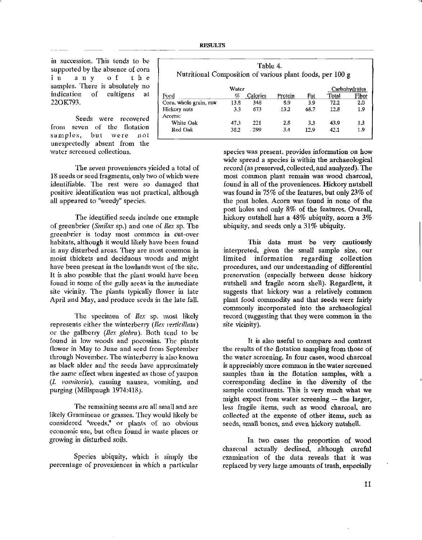**in succession. This tends to be**  supported by the absence of com supported by the absence of com-<br>in any of the samples. There is absolutely no indication of cultigens at 220K793.

Seeds were recovered **froin seven of the flotation**  samples, but were not unexpectedly absent from the **\Vatcr screened collections.** 

**The seven proveniences yielded a total of**  18 seeds or seed fragments, only two of which were identifiable. The rest were so damaged that positive identification was not practical, although **all appeared to 1 \veedy11 species.** 

The identified seeds include one example of greenbrier (*Smilax sp.*) and one of *flex sp.* The **greenhrier** is today most common in cut-over habitats, although it would likely have been found in any disturbed areas. They are most common in moist thickets and deciduous woods and might have been present in the lowlands west of the site. It is also possible that the plant would have been found in some of the gully areas in the innnediate site vicinity. The plants typically flower in late April and May, and produce seeds in the late fall.

The specimen of *Ilex* sp. most likely represents either the winterberry *(I/ex 1•erticillata)*  or the gallberry *(I/ex glabra* ). Both tend to be found in low woods and pocossins. The plants flower in May to June and seed from September through November. The winterberry is also known as black alder and the seeds have approximately the same effect when ingested as those of yaupon *(I. vo111itoria),* **causing nausea, vomiting, and**  purging (Millspaugh 1974:418).

**The remaining seems are all smaII and are**  likely Gramineae or grasses. They would likely be **considered 1 \veeds,11 or plants Df no obvious**  economic use, but often found in waste places or growing in disturbed soils.

Species ubiquity, which is simply the **percentage of proveniences in which a particular** 

| Table 4.<br>Nutritional Composition of various plant foods, per 100 g |      |          |         |      |       |       |  |  |  |  |  |  |
|-----------------------------------------------------------------------|------|----------|---------|------|-------|-------|--|--|--|--|--|--|
| Water<br>Carbohydrates                                                |      |          |         |      |       |       |  |  |  |  |  |  |
| Food                                                                  | %    | Calories | Protein | Fat  | Total | Fiber |  |  |  |  |  |  |
| Corn, whole grain, raw                                                | 13.8 | 348      | 8.9     | 3.9  | 72.2  | 2.0   |  |  |  |  |  |  |
| Hickory nuts                                                          | 3.3  | 673      | 13.2    | 68.7 | 12.8  | 1.9   |  |  |  |  |  |  |
| Acorns:                                                               |      |          |         |      |       |       |  |  |  |  |  |  |
| White Oak                                                             | 47.3 | 221      | 2.8     | 3.3  | 43.9  | 13    |  |  |  |  |  |  |
| Red Oak                                                               | 38.2 | 299      | 3.4     | 12.9 | 42.1  | 1.9   |  |  |  |  |  |  |
|                                                                       |      |          |         |      |       |       |  |  |  |  |  |  |

**species was present, provides information on how**  wide spread a species is within the archaeological record (as preserved, collected, and analyzed). The **most common plant remain was wood charcoal,**  found in all of the proveniences. Hickory nutshell was found in 75% of the features, but only 23% of the post holes. Acom was found in none of the post holes and only 8% of the features. Overall, hickory nutshell has a 48% ubiquity, acorn a 3% ubiquity, and seeds only a  $31\%$  ubiquity.

This data must be very cautiously interpreted, given the small sample size, our limited information regarding collection procedures, and our understanding of differential preservation (especially between dense hickory nutshell and fragile acorn shell). Regardless, it suggests that hickory was a relatively common plant food commodity and that seeds were fairly commonly incorporated into the archaeological record (suggesting that they were common in the site vicinity).

It is also useful to compare and contrast the results of the flotation sampling from those of the water screening. In four cases, wood charcoal **is appreciably more common in the water screened**  samples than in the flotation samples, with a corresponding decline in the diversity of the sample constituents. This is very much what we might expect from water screening  $-$  the larger, less fragile items, such as wood charcoal, are collected at the expense of other items, such as seeds, small bones, and even hickory nutshell.

In two cases the proportion of wood charcoal actually declined, although careful examination of the data reveals that it was replaced by very large amounts of trash, especially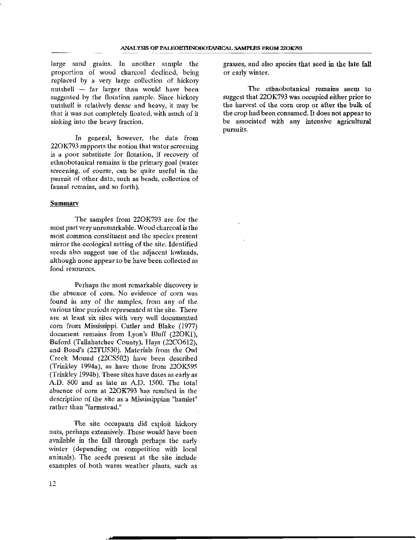large sand grains. In another sample the proportion of wood charcoal declined, being replaced by a very large collection of hickory **nutshell - far largef than \vould have been**  suggested by the flotation sample. Since hickory nutshell is relatively dense and heavy, it may be that it was not completely floated, with much of it sinking into the heavy fraction.

**In general, however, the data from**  220K793 supports the notion that wator screening is **a poor substitute for flotation, if recovery of**  ethnobotanical remains is the primary goal (water screening, of course, can be quite useful in the **pursuit of other data, such as beads, collection of**  faunal remains, and so forth).

#### Summary

The samples from 220K793 are for the most part very unremarkable. Wood charcoal is the **most common constituent and the species present**  mirror the ecological setting of the site. Identified seeds also suggest use of the adjacent lowlands, although none appear to be have been collected as **food resources.** 

Perhaps the most remarkable discovery is **the absence o[ com. No evidence of corn was**  found in any of the samples, from any of the **various time periods represented at the site. There are at least six sites with very well documented**  corn from Mississippi. Cutler and Blake (1977) document remains from Lyon's Bluff (220Kl), Buford (Tallahatchce County), Hays (22C0612), and Bond's (22TU530). Materials from the Owl Creek Mound (22CS502) have been descnbed (Trinkley 1994a), as have those from 220K595 (Trinkley 1994b). These sites have dales as early as A.D. 800 and as late as A.D. 1500. The total absence of corn at 220K793 has resulted in the description of the site as a Mississippian "hamlet" **rather than <sup>11</sup> farmstead."** 

The site occupants did exploit hickory **nuts, perhaps extensively. These \vould have been**  available in the fall through perhaps the early winter (depending on competition with local animals). The seeds present at the site include examples of both warm weather plants, such as

grasses, and also species that seed in the late fall or early winter.

**The ethnobotanical remains seem to**  suggest that 220K793 was occupied either prior to the harvest of the com crop or after the bulk of the crop had been consumed. It does not appear to be associated with any intensive agricultural **pursuits.**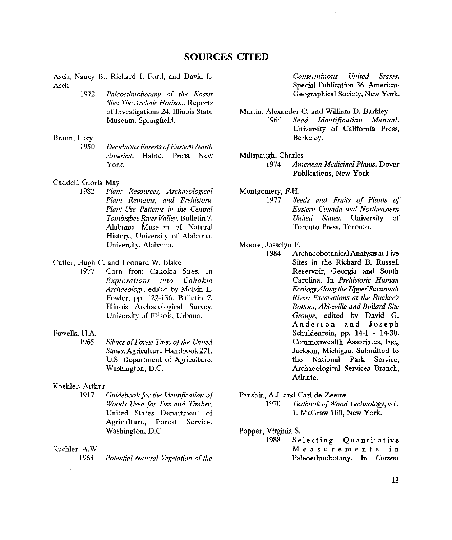## **SOURCES CITED**

Asch, Nancy B., Richard I. Ford, and David L. Asch

> Paleoethnobotany of the Koster 1972 Site: The Archaic Horizon. Reports of Investigations 24. Illinois State Museum, Springfield,

#### Braun, Lucy

- 1950 Deciduous Forests of Eastern North America. Hafner Press, New York.
- Caddell, Gloria May
	- 1982 Plant Resources, Archaeological Plant Remains, and Prehistoric Plant-Use Patterns in the Central Tombigbee River Valley, Bulletin 7. Alabama Museum of Natural History, University of Alabama, University, Alabama.

Cutler, Hugh C. and Leonard W. Blake

1977 Corn from Cahokia Sites. In Explorations into Cahokia Archaeology, edited by Melvin L. Fowler, pp. 122-136. Bulletin 7. Illinois Archaeological Survey, University of Illinois, Urbana.

## Fowells, H.A.

1965 Silvics of Forest Trees of the United States. Agriculture Handbook 271. U.S. Department of Agriculture, Washington, D.C.

#### Koehler, Arthur

1917 Guidebook for the Identification of Woods Used for Ties and Timber. United States Department of Agriculture, Forest Service, Washington, D.C.

#### Kuchler, A.W.

Conterminous **United** States. Special Publication 36. American Geographical Society, New York.

- Martin, Alexander C. and William D. Barklev Seed Identification Manual. 1964 University of California Press, Berkeley.
- Millspaugh, Charles
	- 1974 American Medicinal Plants, Dover Publications, New York.
- Montgomery, F.H.
	- 1977 Seeds and Fruits of Plants of Eastern Canada and Northeastern United States. University of Toronto Press, Toronto.

#### Moore, Josselyn F.

1984 Archaeobotanical Analysis at Five Sites in the Richard B. Russell Reservoir, Georgia and South Carolina. In Prehistoric Human **Ecology Along the Upper Savannah** River: Excavations at the Rucker's Bottom, Abbeville and Bullard Site Groups, edited by David G. Anderson and Joseph Schuldenrein, pp. 14-1 - 14-30. Commonwealth Associates, Inc., Jackson, Michigan. Submitted to the National Park Service, Archaeological Services Branch, Atlanta.

#### Panshin, A.J. and Carl de Zeeuw

Textbook of Wood Technology, vol. 1970 1. McGraw Hill, New York.

### Popper, Virginia S.

1988 Selecting Quantitative Measurements i n Paleoethnobotany. In Current

<sup>1964</sup> Potential Natural Vegetation of the